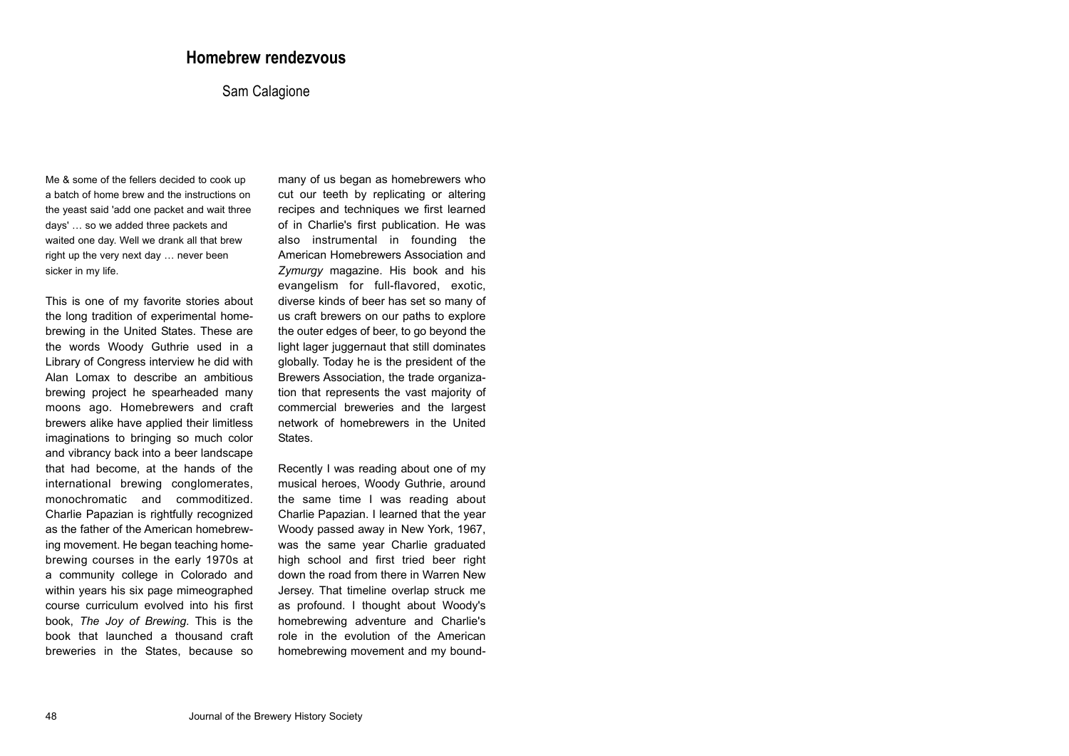## **Homebrew rendezvous**

## Sam Calagione

Me & some of the fellers decided to cook up a batch of home brew and the instructions on the yeast said 'add one packet and wait three days' … so we added three packets and waited one day. Well we drank all that brew right up the very next day … never been sicker in my life.

This is one of my favorite stories about the long tradition of experimental home brewing in the United States. These are the words Woody Guthrie used in a Library of Congress interview he did with Alan Lomax to describe an ambitious brewing project he spearheaded many moons ago. Homebrewers and craft brewers alike have applied their limitless imaginations to bringing so much color and vibrancy back into a beer landscape that had become, at the hands of the international brewing conglomerates, monochromatic and commoditized. Charlie Papazian is rightfully recognized as the father of the American homebrew ing movement. He began teaching home brewing courses in the early 1970s at a community college in Colorado and within years his six page mimeographed course curriculum evolved into his first book, *The Joy of Brewing*. This is the book that launched a thousand craft breweries in the States, because so many of us began as homebrewers who cut our teeth by replicating or altering recipes and techniques we first learned of in Charlie's first publication. He was also instrumental in founding the American Homebrewers Association and *Zymurgy* magazine. His book and his evangelism for full-flavored, exotic, diverse kinds of beer has set so many of us craft brewers on our paths to explore the outer edges of beer, to go beyond the light lager juggernaut that still dominates globally. Today he is the president of the Brewers Association, the trade organiza tion that represents the vast majority of commercial breweries and the largest network of homebrewers in the United States.

Recently I was reading about one of my musical heroes, Woody Guthrie, around the same time I was reading about Charlie Papazian. I learned that the year Woody passed away in New York, 1967, was the same year Charlie graduated high school and first tried beer right down the road from there in Warren New Jersey. That timeline overlap struck me as profound. I thought about Woody's homebrewing adventure and Charlie's role in the evolution of the American homebrewing movement and my bound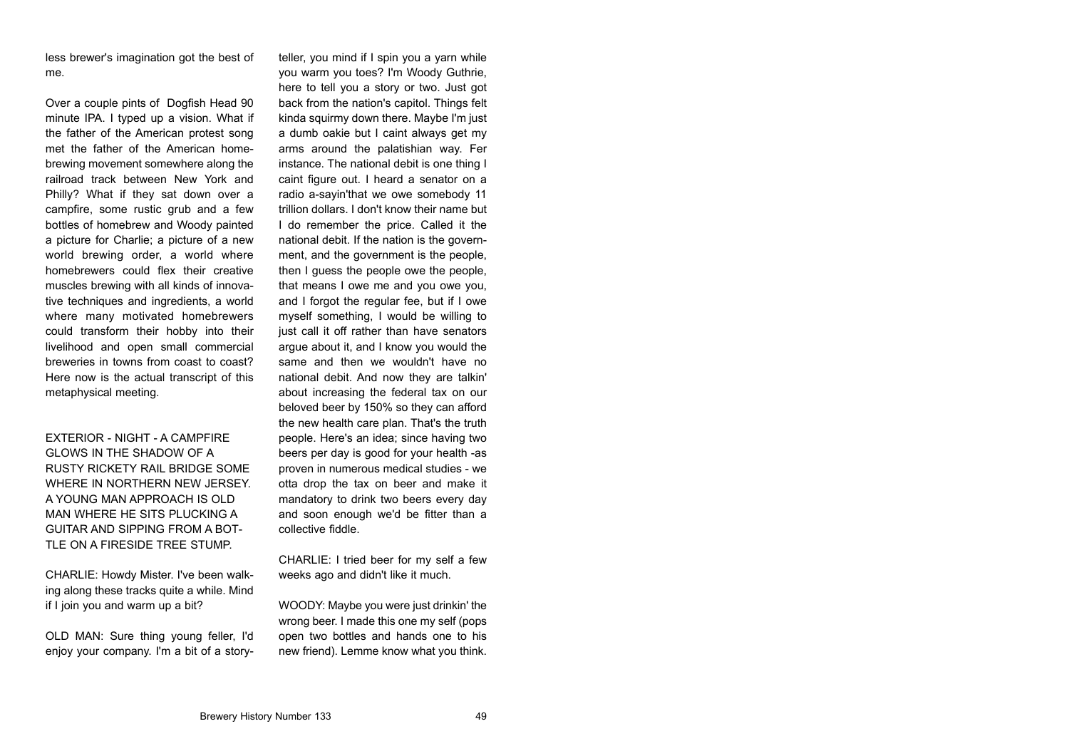less brewer's imagination got the best of me.

Over a couple pints of Dogfish Head 90 minute IPA. I typed up a vision. What if the father of the American protest song met the father of the American home brewing movement somewhere along the railroad track between New York and Philly? What if they sat down over a campfire, some rustic grub and a few bottles of homebrew and Woody painted a picture for Charlie; a picture of a new world brewing order, a world where homebrewers could flex their creative muscles brewing with all kinds of innova tive techniques and ingredients, a world where many motivated homebrewers could transform their hobby into their livelihood and open small commercial breweries in towns from coast to coast? Here now is the actual transcript of this metaphysical meeting.

EXTERIOR - NIGHT - A CAMPFIRE GLOWS IN THE SHADOW OF A RUSTY RICKETY RAIL BRIDGE SOME WHERE IN NORTHERN NEW JERSEY. A YOUNG MAN APPROACH IS OLD MAN WHERE HE SITS PLUCKING A GUITAR AND SIPPING FROM A BOT- TLE ON A FIRESIDE TREE STUMP. CHARLIE: Howdy Mister. I've been walk-

ing along these tracks quite a while. Mind if I join you and warm up a bit?

OLD MAN: Sure thing young feller, I'd

less brewers imagination got the best of later, you mind if It spin you ayan while the set of the the to theil you as above to two want of the complement of the total stop to the distinguish the complement the american pro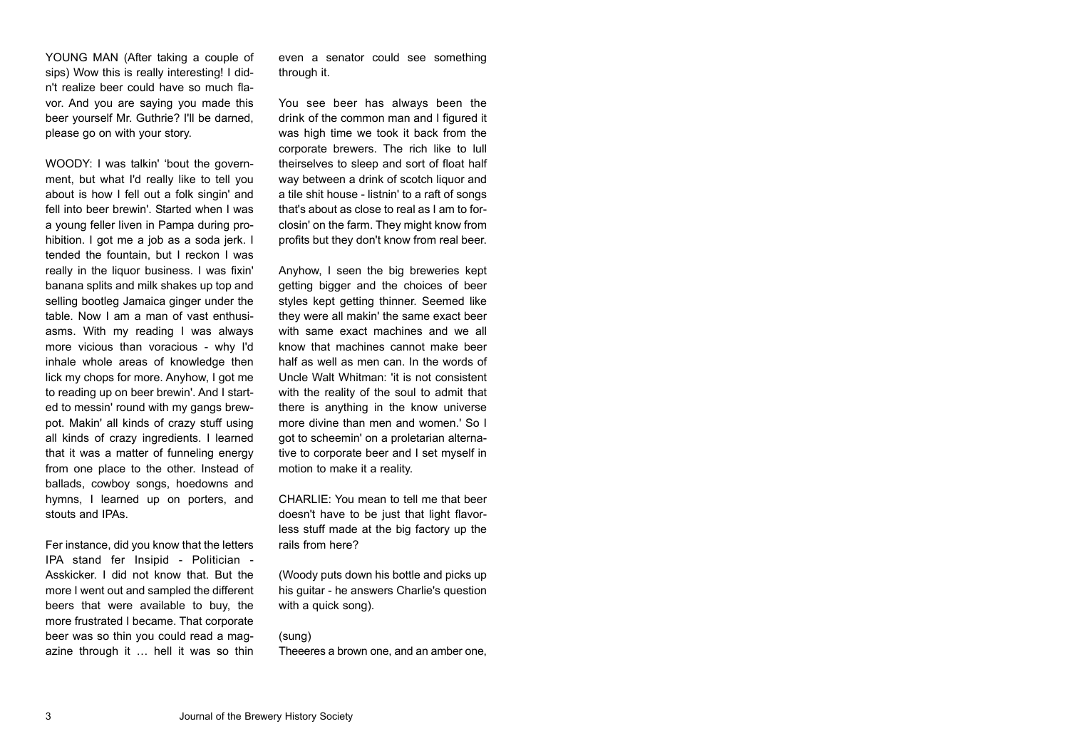YOUNG MAN (After taking a couple of sips) Wow this is really interesting! I didn't realize beer could have so much fla vor. And you are saying you made this beer yourself Mr. Guthrie? I'll be darned, please go on with your story.

WOODY: I was talkin' 'bout the govern ment, but what I'd really like to tell you about is how I fell out a folk singin' and fell into beer brewin'. Started when I was a young feller liven in Pampa during pro hibition. I got me a job as a soda jerk. I tended the fountain, but I reckon I was really in the liquor business. I was fixin' banana splits and milk shakes up top and selling bootleg Jamaica ginger under the table. Now I am a man of vast enthusi asms. With my reading I was always more vicious than voracious - why I'd inhale whole areas of knowledge then lick my chops for more. Anyhow, I got me to reading up on beer brewin'. And I start ed to messin' round with my gangs brew pot. Makin' all kinds of crazy stuff using all kinds of crazy ingredients. I learned that it was a matter of funneling energy from one place to the other. Instead of ballads, cowboy songs, hoedowns and hymns, I learned up on porters, and stouts and IPAs.

Fer instance, did you know that the letters IPA stand fer Insipid - Politician - Asskicker. I did not know that. But the more I went out and sampled the different beers that were available to buy, the more frustrated I became. That corporate beer was so thin you could read a mag azine through it … hell it was so thin even a senator could see something through it.

You see beer has always been the drink of the common man and I figured it was high time we took it back from the corporate brewers. The rich like to lull theirselves to sleep and sort of float half way between a drink of scotch liquor and a tile shit house - listnin' to a raft of songs that's about as close to real as I am to for closin' on the farm. They might know from profits but they don't know from real beer.

Anyhow, I seen the big breweries kept getting bigger and the choices of beer styles kept getting thinner. Seemed like they were all makin' the same exact beer with same exact machines and we all know that machines cannot make beer half as well as men can. In the words of Uncle Walt Whitman: 'it is not consistent with the reality of the soul to admit that there is anything in the know universe more divine than men and women.' So I got to scheemin' on a proletarian alterna tive to corporate beer and I set myself in motion to make it a reality.

CHARLIE: You mean to tell me that beer doesn't have to be just that light flavor less stuff made at the big factory up the rails from here?

(Woody puts down his bottle and picks up his guitar - he answers Charlie's question with a quick song).

(sung)

Theeeres a brown one, and an amber one,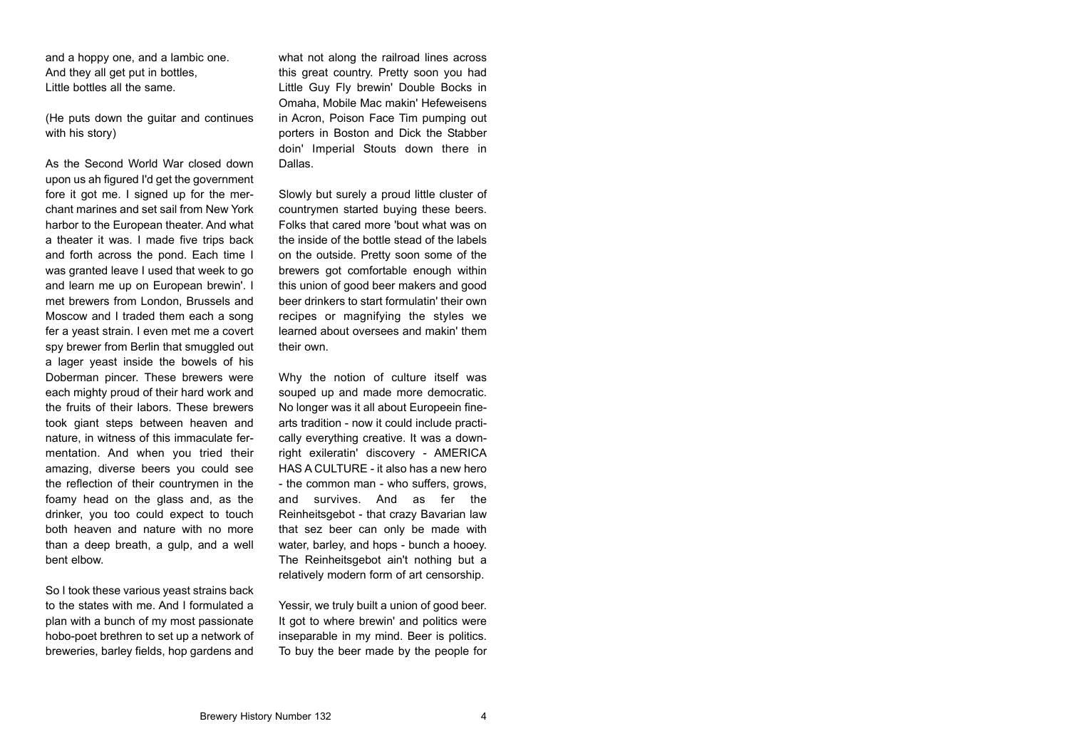and a hoppy one, and a lambic one. And they all get put in bottles. Little bottles all the same.

(He puts down the guitar and continues with his story)

As the Second World War closed down upon us ah figured I'd get the government fore it got me. I signed up for the mer chant marines and set sail from New York harbor to the European theater. And what a theater it was. I made five trips back and forth across the pond. Each time I was granted leave I used that week to go and learn me up on European brewin'. I met brewers from London, Brussels and Moscow and I traded them each a song fer a yeast strain. I even met me a covert spy brewer from Berlin that smuggled out a lager yeast inside the bowels of his Doberman pincer. These brewers were each mighty proud of their hard work and the fruits of their labors. These brewers took giant steps between heaven and nature, in witness of this immaculate fer mentation. And when you tried their amazing, diverse beers you could see the reflection of their countrymen in the foamy head on the glass and, as the drinker, you too could expect to touch both heaven and nature with no more than a deep breath, a gulp, and a well bent elbow.

So I took these various yeast strains back to the states with me. And I formulated a plan with a bunch of my most passionate hobo-poet brethren to set up a network of breweries, barley fields, hop gardens and what not along the railroad lines across this great country. Pretty soon you had Little Guy Fly brewin' Double Bocks in Omaha, Mobile Mac makin' Hefeweisens in Acron, Poison Face Tim pumping out porters in Boston and Dick the Stabber doin' Imperial Stouts down there in Dallas.

Slowly but surely a proud little cluster of countrymen started buying these beers. Folks that cared more 'bout what was on the inside of the bottle stead of the labels on the outside. Pretty soon some of the brewers got comfortable enough within this union of good beer makers and good beer drinkers to start formulatin' their own recipes or magnifying the styles we learned about oversees and makin' them their own.

Why the notion of culture itself was souped up and made more democratic. No longer was it all about Europeein finearts tradition - now it could include practi cally everything creative. It was a down right exileratin' discovery - AMERICA HAS A CULTURE - it also has a new hero - the common man - who suffers, grows, and survives. And as fer the Reinheitsgebot - that crazy Bavarian law that sez beer can only be made with water, barley, and hops - bunch a hooey. The Reinheitsgebot ain't nothing but a relatively modern form of art censorship.

Yessir, we truly built a union of good beer. It got to where brewin' and politics were inseparable in my mind. Beer is politics. To buy the beer made by the people for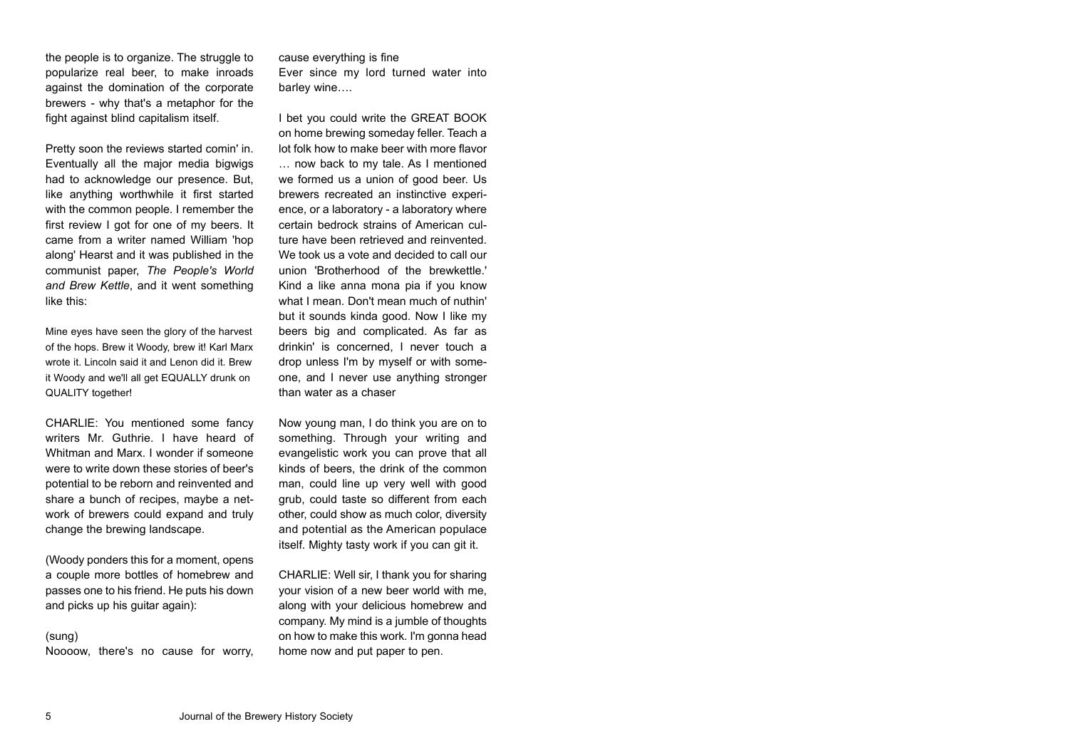the people is to organize. The struggle to popularize real beer, to make inroads against the domination of the corporate brewers - why that's a metaphor for the fight against blind capitalism itself.

Pretty soon the reviews started comin' in. Eventually all the major media bigwigs had to acknowledge our presence. But, like anything worthwhile it first started with the common people. I remember the first review I got for one of my beers. It came from a writer named William 'hop along' Hearst and it was published in the communist paper, *The People's World and Brew Kettle*, and it went something like this:

Mine eyes have seen the glory of the harvest of the hops. Brew it Woody, brew it! Karl Marx wrote it. Lincoln said it and Lenon did it. Brew it Woody and we'll all get EQUALLY drunk on QUALITY together!

CHARLIE: You mentioned some fancy writers Mr. Guthrie. I have heard of Whitman and Marx. I wonder if someone were to write down these stories of beer's potential to be reborn and reinvented and share a bunch of recipes, maybe a net work of brewers could expand and truly change the brewing landscape.

(Woody ponders this for a moment, opens a couple more bottles of homebrew and passes one to his friend. He puts his down and picks up his guitar again):

(sung)

Noooow, there's no cause for worry,

cause everything is fine

Ever since my lord turned water into barley wine….

I bet you could write the GREAT BOOK on home brewing someday feller. Teach a lot folk how to make beer with more flavor … now back to my tale. As I mentioned we formed us a union of good beer. Us brewers recreated an instinctive experi ence, or a laboratory - a laboratory where certain bedrock strains of American cul ture have been retrieved and reinvented. We took us a vote and decided to call our union 'Brotherhood of the brewkettle.' Kind a like anna mona pia if you know what I mean. Don't mean much of nuthin' but it sounds kinda good. Now I like my beers big and complicated. As far as drinkin' is concerned, I never touch a drop unless I'm by myself or with some one, and I never use anything stronger than water as a chaser

Now young man, I do think you are on to something. Through your writing and evangelistic work you can prove that all kinds of beers, the drink of the common man, could line up very well with good grub, could taste so different from each other, could show as much color, diversity and potential as the American populace itself. Mighty tasty work if you can git it.

CHARLIE: Well sir, I thank you for sharing your vision of a new beer world with me, along with your delicious homebrew and company. My mind is a jumble of thoughts on how to make this work. I'm gonna head home now and put paper to pen.